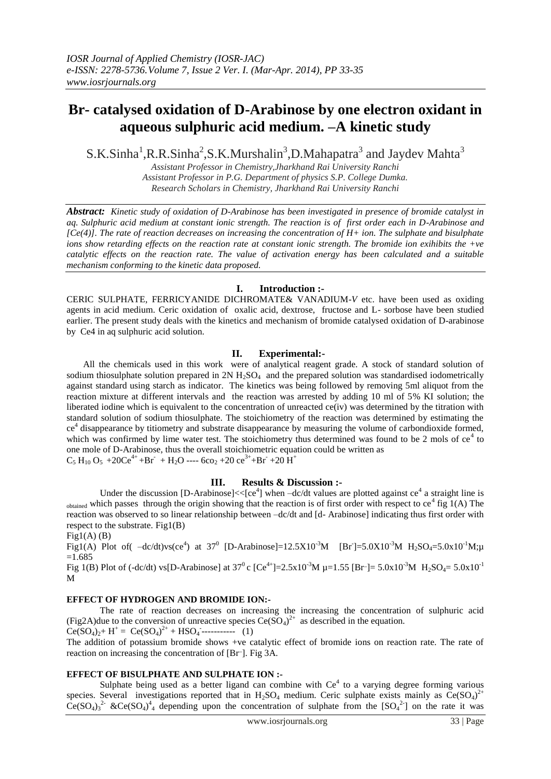# **Br- catalysed oxidation of D-Arabinose by one electron oxidant in aqueous sulphuric acid medium. –A kinetic study**

S.K.Sinha<sup>1</sup>,R.R.Sinha<sup>2</sup>,S.K.Murshalin<sup>3</sup>,D.Mahapatra<sup>3</sup> and Jaydev Mahta<sup>3</sup>

*Assistant Professor in Chemistry,Jharkhand Rai University Ranchi Assistant Professor in P.G. Department of physics S.P. College Dumka. Research Scholars in Chemistry, Jharkhand Rai University Ranchi*

*Abstract: Kinetic study of oxidation of D-Arabinose has been investigated in presence of bromide catalyst in aq. Sulphuric acid medium at constant ionic strength. The reaction is of first order each in D-Arabinose and [Ce(4)]. The rate of reaction decreases on increasing the concentration of H+ ion. The sulphate and bisulphate ions show retarding effects on the reaction rate at constant ionic strength. The bromide ion exihibits the +ve catalytic effects on the reaction rate. The value of activation energy has been calculated and a suitable mechanism conforming to the kinetic data proposed.*

## **I. Introduction :-**

CERIC SULPHATE, FERRICYANIDE DICHROMATE& VANADIUM-*V* etc. have been used as oxiding agents in acid medium. Ceric oxidation of oxalic acid, dextrose, fructose and L- sorbose have been studied earlier. The present study deals with the kinetics and mechanism of bromide catalysed oxidation of D-arabinose by Ce4 in aq sulphuric acid solution.

## **II. Experimental:-**

All the chemicals used in this work were of analytical reagent grade. A stock of standard solution of sodium thiosulphate solution prepared in  $2N H_2SO_4$  and the prepared solution was standardised iodometrically against standard using starch as indicator. The kinetics was being followed by removing 5ml aliquot from the reaction mixture at different intervals and the reaction was arrested by adding 10 ml of 5% KI solution; the liberated iodine which is equivalent to the concentration of unreacted ce(iv) was determined by the titration with standard solution of sodium thiosulphate. The stoichiometry of the reaction was determined by estimating the ce<sup>4</sup> disappearance by titiometry and substrate disappearance by measuring the volume of carbondioxide formed, which was confirmed by lime water test. The stoichiometry thus determined was found to be 2 mols of  $ce<sup>4</sup>$  to one mole of D-Arabinose, thus the overall stoichiometric equation could be written as  $C_5 H_{10} O_5 + 20 C e^{4+} + Br + H_2 O$  ---- 6co<sub>2</sub> + 20 ce<sup>3+</sup> + Br + 20 H<sup>+</sup>

## **III. Results & Discussion :-**

Under the discussion [D-Arabinose]<< $[ce<sup>4</sup>]$  when  $-dc/dt$  values are plotted against  $ce<sup>4</sup>$  a straight line is  $\omega_{\text{obtained}}$  which passes through the origin showing that the reaction is of first order with respect to ce<sup>4</sup> fig 1(A) The reaction was observed to so linear relationship between –dc/dt and [d- Arabinose] indicating thus first order with respect to the substrate. Fig1(B)

 $Fig1(A)$  (B)

Fig1(A) Plot of ( $-dc/dt$ )  $v s (ce^4)$  at 37<sup>0</sup> [D-Arabinose]=12.5X10<sup>-3</sup>M [Br<sup>-</sup>]=5.0X10<sup>-3</sup>M H<sub>2</sub>SO<sub>4</sub>=5.0x10<sup>-1</sup>M;µ =1.685

Fig 1(B) Plot of (-dc/dt) vs[D-Arabinose] at  $37^{\circ}$ c [Ce<sup>4+</sup>]=2.5x10<sup>-3</sup>M µ=1.55 [Br<sup>-</sup>]= 5.0x10<sup>-3</sup>M H<sub>2</sub>SO<sub>4</sub>= 5.0x10<sup>-1</sup> M

## **EFFECT OF HYDROGEN AND BROMIDE ION:-**

The rate of reaction decreases on increasing the increasing the concentration of sulphuric acid (Fig2A)due to the conversion of unreactive species  $Ce(SO<sub>4</sub>)<sup>2+</sup>$  as described in the equation.

 $Ce(SO<sub>4</sub>)<sub>2</sub>+ H<sup>+</sup> = Ce(SO<sub>4</sub>)<sup>2+</sup> + HSO<sub>4</sub>$ ------------ (1)

The addition of potassium bromide shows +ve catalytic effect of bromide ions on reaction rate. The rate of reaction on increasing the concentration of [Br<sup>-</sup>]. Fig 3A.

## **EFFECT OF BISULPHATE AND SULPHATE ION :-**

Sulphate being used as a better ligand can combine with  $Ce<sup>4</sup>$  to a varying degree forming various species. Several investigations reported that in  $H_2SO_4$  medium. Ceric sulphate exists mainly as  $Ce(SO_4)^{2+}$  $\text{Ce(SO<sub>4</sub>)<sub>3</sub><sup>2</sup> \& \text{Ce(SO<sub>4</sub>)<sub>4</sub><sup>4</sup> depending upon the concentration of sulphate from the [SO<sub>4</sub><sup>2</sup>] on the rate it was$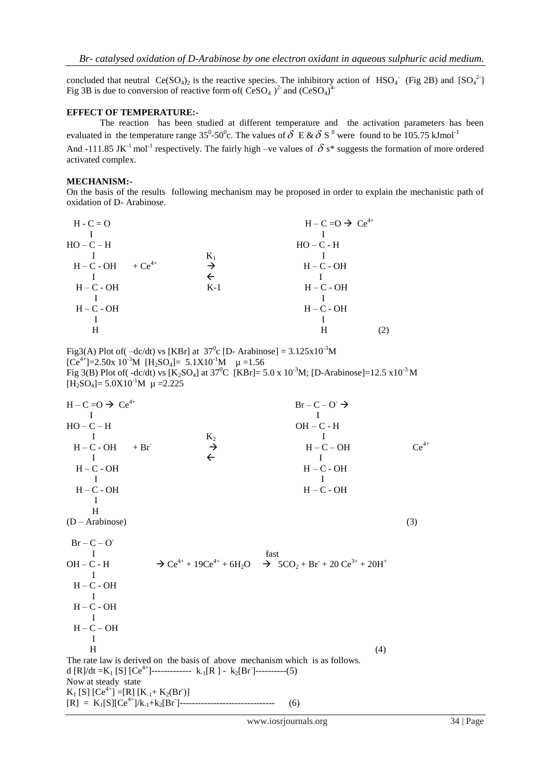concluded that neutral  $Ce(SO_4)_2$  is the reactive species. The inhibitory action of HSO<sub>4</sub><sup>-</sup> (Fig 2B) and [SO<sub>4</sub><sup>2-</sup>] Fig 3B is due to conversion of reactive form of  $(CeSO_4)^2$  and  $(CeSO_4)^4$ 

#### **EFFECT OF TEMPERATURE:-**

The reaction has been studied at different temperature and the activation parameters has been evaluated in the temperature range 35<sup>0</sup>-50<sup>0</sup>c. The values of  $\delta$  E &  $\delta$  S<sup>0</sup> were found to be 105.75 kJmol<sup>-1</sup>

And -111.85 JK<sup>-1</sup> mol<sup>-1</sup> respectively. The fairly high –ve values of  $\delta$  s\* suggests the formation of more ordered activated complex.

#### **MECHANISM:-**

On the basis of the results following mechanism may be proposed in order to explain the mechanistic path of oxidation of D- Arabinose.

|       | $H - C = O \rightarrow Ce^{4+}$ |
|-------|---------------------------------|
|       |                                 |
|       | $HO - C - H$                    |
| $K_1$ |                                 |
|       | $H - C - OH$                    |
|       |                                 |
| $K-1$ | $H - C - OH$                    |
|       |                                 |
|       | $H - C - OH$                    |
|       |                                 |
|       |                                 |
|       |                                 |

Fig3(A) Plot of  $-\text{dc/dt}$  vs [KBr] at  $37^\circ$ c [D- Arabinose] = 3.125x10<sup>-3</sup>M  $[Ce^{4+}]=2.50x 10^{-3}M$   $[H_2SO_4]=5.1X10^{-1}M$   $\mu=1.56$ Fig 3(B) Plot of( -dc/dt) vs  $K_2SO_4$ ] at 37<sup>0</sup>C  $[KBr] = 5.0 \times 10^{-3}$ M;  $[D-Arabinose] = 12.5 \times 10^{-3}$ M  $[H_2SO_4] = 5.0X10^{-1}M \mu = 2.225$ 

 $H - C = O \rightarrow Ce^{4+}$  $Br - C - O \rightarrow$ I and the set of the set of the set of the set of the set of the set of the set of the set of the set of the s  $HO - C - H$   $OH - C - H$  $K_2$  I  $H - C - OH$  + Br  $\rightarrow$  H – C – OH  $Ce^{4+}$  $\overline{1}$   $\overline{1}$   $\overline{1}$   $\overline{1}$  H – C - OH H – C - OH I and the set of  $\mathbf I$  H – C - OH H – C - OH I H  $(D - Arabinose)$  (3)  $Br - C - O$ I fast OH – C - H  $\rightarrow$  Ce<sup>4+</sup> + 19Ce<sup>4+</sup> + 6H<sub>2</sub>O  $\rightarrow$  5CO<sub>2</sub> + Br + 20 Ce<sup>3+</sup> + 20H<sup>+</sup> I  $H - C - OH$  I  $H - C - OH$  I  $H - C - OH$  I  $H$  (4) The rate law is derived on the basis of above mechanism which is as follows. d [R]/dt =K<sub>1</sub> [S] [Ce<sup>4+</sup>]-------------- k<sub>-1</sub>[R] - k<sub>2</sub>[Br<sup>-</sup>]----------(5) Now at steady state  $K_1$  [S]  $[Ce^{4+}$ ] =[R]  $[K_{-1} + K_2(Br)]$ [R] = K1[S][Ce4+]/k-1+k2[Br- ]------------------------------- (6)